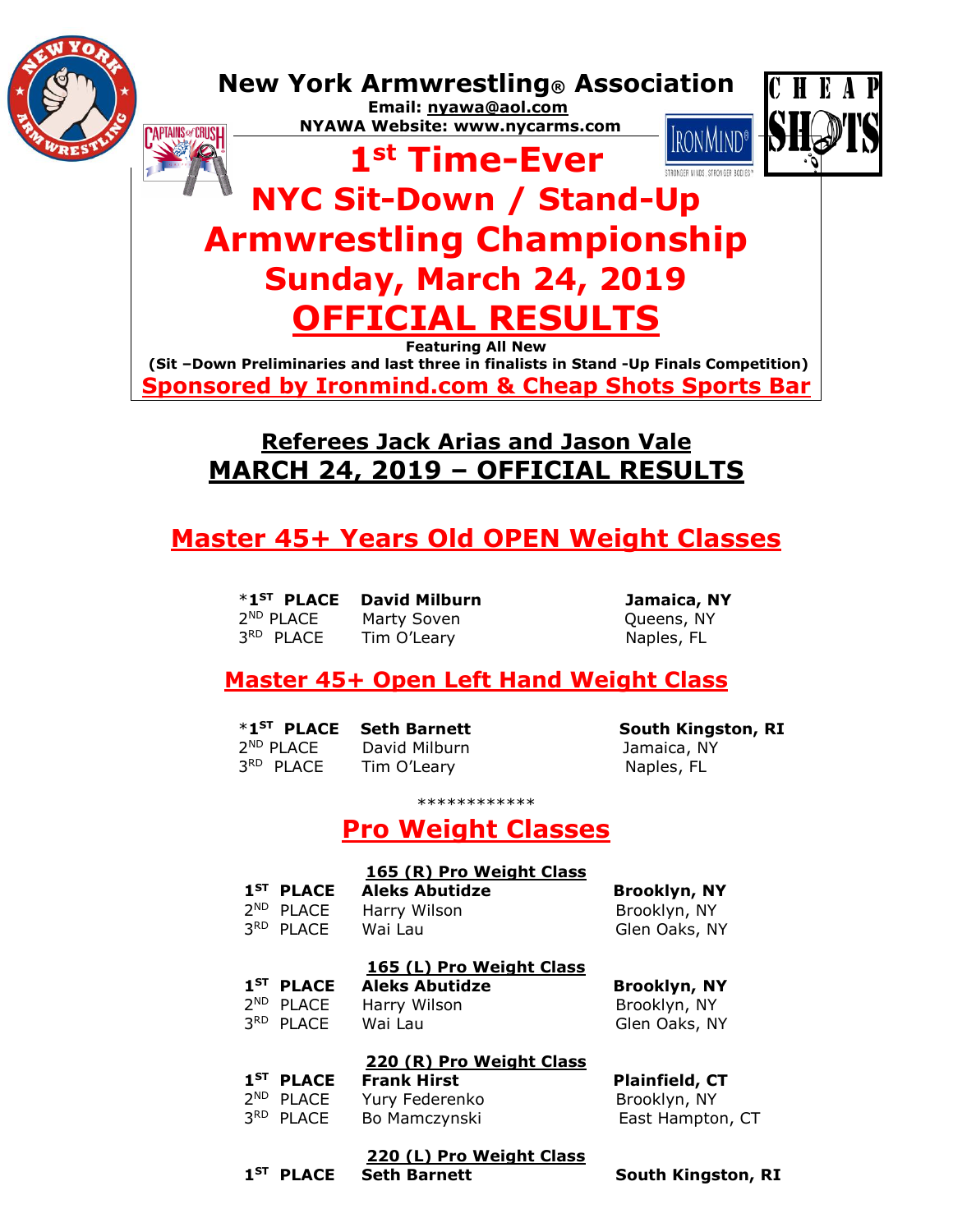

**Featuring All New (Sit –Down Preliminaries and last three in finalists in Stand -Up Finals Competition) Sponsored by Ironmind.com & Cheap Shots Sports Bar**

# **Referees Jack Arias and Jason Vale MARCH 24, 2019 – OFFICIAL RESULTS**

# **Master 45+ Years Old OPEN Weight Classes**

 \***1ST** 2

3

Marty Soven **Dueens**, NY 3<sup>RD</sup> PLACE Tim O'Leary Naples, FL

**David Milburn Carry Damaica, NY** 

## **Master 45+ Open Left Hand Weight Class**

|                       | <b>*1ST PLACE Seth Barnett</b> |  |
|-----------------------|--------------------------------|--|
| $2ND$ PLACE           | David Milburn                  |  |
| 3 <sup>RD</sup> PLACE | Tim O'Leary                    |  |

**South Kingston, RI** Jamaica, NY Naples, FL

\*\*\*\*\*\*\*\*\*\*\*\*

## **Pro Weight Classes**

|      |                       | 165 (R) Pro Weight Class |                           |
|------|-----------------------|--------------------------|---------------------------|
|      | $1ST$ PLACE           | <b>Aleks Abutidze</b>    | <b>Brooklyn, NY</b>       |
|      | 2 <sup>ND</sup> PLACE | Harry Wilson             | Brooklyn, NY              |
|      | 3RD PLACE             | Wai Lau                  | Glen Oaks, NY             |
|      |                       | 165 (L) Pro Weight Class |                           |
|      | $1ST$ place           | <b>Aleks Abutidze</b>    | <b>Brooklyn, NY</b>       |
|      | 2 <sup>ND</sup> PLACE | Harry Wilson             | Brooklyn, NY              |
|      | 3RD PLACE             | Wai Lau                  | Glen Oaks, NY             |
|      |                       | 220 (R) Pro Weight Class |                           |
|      | $1ST$ PLACE           | <b>Frank Hirst</b>       | <b>Plainfield, CT</b>     |
|      | 2 <sup>ND</sup> PLACE | Yury Federenko           | Brooklyn, NY              |
|      | 3RD PLACE             | Bo Mamczynski            | East Hampton, CT          |
|      |                       | 220 (L) Pro Weight Class |                           |
| 1 ST | <b>PLACE</b>          | <b>Seth Barnett</b>      | <b>South Kingston, RI</b> |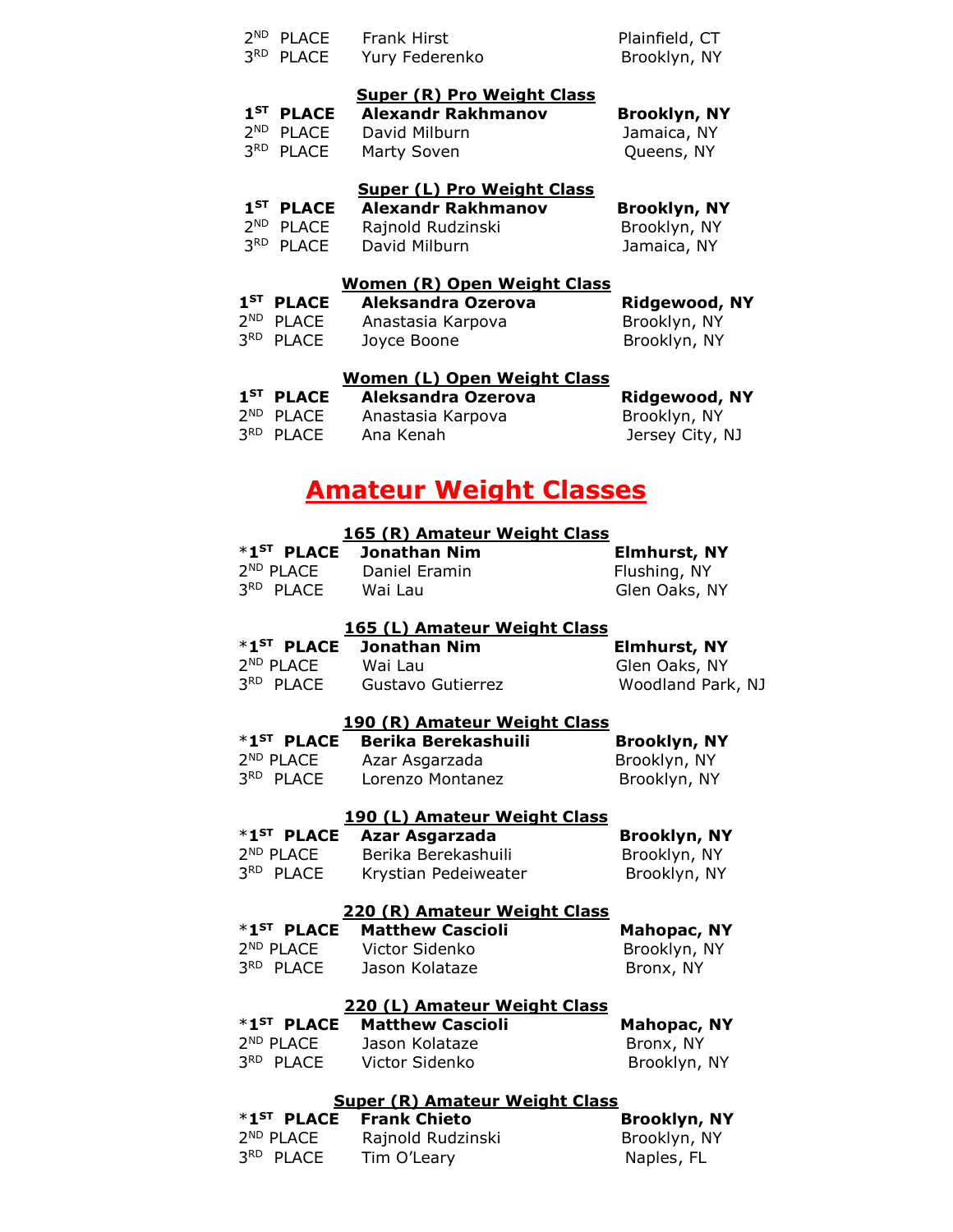| 2 <sup>ND</sup> PLACE<br>3RD PLACE              | <b>Frank Hirst</b><br>Yury Federenko                     | Plainfield, CT<br>Brooklyn, NY     |
|-------------------------------------------------|----------------------------------------------------------|------------------------------------|
|                                                 | <b>Super (R) Pro Weight Class</b>                        |                                    |
| $1ST$ PLACE<br>2 <sup>ND</sup> PLACE            | <b>Alexandr Rakhmanov</b><br>David Milburn               | <b>Brooklyn, NY</b><br>Jamaica, NY |
| 3RD PLACE                                       | Marty Soven                                              | Queens, NY                         |
|                                                 | <b>Super (L) Pro Weight Class</b>                        |                                    |
| $1ST$ place                                     | <b>Alexandr Rakhmanov</b>                                | <b>Brooklyn, NY</b>                |
| 2 <sup>ND</sup><br><b>PLACE</b>                 | Rajnold Rudzinski                                        | Brooklyn, NY                       |
| 3RD PLACE                                       | David Milburn                                            | Jamaica, NY                        |
| $1^{ST}$ place                                  | <b>Women (R) Open Weight Class</b><br>Aleksandra Ozerova |                                    |
| 2 <sup>ND</sup> PLACE                           | Anastasia Karpova                                        | Ridgewood, NY<br>Brooklyn, NY      |
| 3RD PLACE                                       | Joyce Boone                                              | Brooklyn, NY                       |
|                                                 | <b>Women (L) Open Weight Class</b>                       |                                    |
| $1ST$ place                                     | Aleksandra Ozerova                                       | <b>Ridgewood, NY</b>               |
| 2 <sup>ND</sup> PLACE<br>3RD PLACE              | Anastasia Karpova                                        | Brooklyn, NY                       |
|                                                 | Ana Kenah                                                | Jersey City, NJ                    |
|                                                 | <u>Amateur Weight Classes</u>                            |                                    |
|                                                 | 165 (R) Amateur Weight Class                             |                                    |
| $*1$ <sup>ST</sup> PLACE                        | <b>Jonathan Nim</b>                                      | <b>Elmhurst, NY</b>                |
|                                                 | 2 <sup>ND</sup> PLACE Daniel Eramin                      | Flushing, NY                       |
| 3RD PLACE Wai Lau                               |                                                          | Glen Oaks, NY                      |
|                                                 | 165 (L) Amateur Weight Class                             |                                    |
| *1 <sup>ST</sup> PLACE                          | <b>Jonathan Nim</b>                                      | <b>Elmhurst, NY</b>                |
| 2 <sup>ND</sup> PLACE                           | Wai Lau                                                  | Glen Oaks, NY                      |
| 3RD PLACE                                       | Gustavo Gutierrez                                        | Woodland Park, NJ                  |
|                                                 | 190 (R) Amateur Weight Class                             |                                    |
| *1 <sup>ST</sup> PLACE                          | <b>Berika Berekashuili</b>                               | <b>Brooklyn, NY</b>                |
| 2 <sup>ND</sup> PLACE<br>3RD PLACE              | Azar Asgarzada<br>Lorenzo Montanez                       | Brooklyn, NY<br>Brooklyn, NY       |
|                                                 |                                                          |                                    |
|                                                 | 190 (L) Amateur Weight Class                             |                                    |
| *1 <sup>ST</sup> PLACE<br>2 <sup>ND</sup> PLACE | Azar Asgarzada<br>Berika Berekashuili                    | <b>Brooklyn, NY</b>                |
| 3RD PLACE                                       | Krystian Pedeiweater                                     | Brooklyn, NY<br>Brooklyn, NY       |
|                                                 |                                                          |                                    |
|                                                 | 220 (R) Amateur Weight Class                             |                                    |

 \***1ST PLACE Matthew Cascioli Mahopac, NY**  2<sup>ND</sup> PLACE Victor Sidenko Brooklyn, NY 3<sup>RD</sup> PLACE Jason Kolataze **Bronx, NY** 

#### **220 (L) Amateur Weight Class**

|                       | *1 <sup>ST</sup> PLACE Matthew Cascioli | <b>Mahopac, NY</b> |
|-----------------------|-----------------------------------------|--------------------|
| 2 <sup>ND</sup> PLACE | Jason Kolataze                          | Bronx, NY          |
| 3 <sup>RD</sup> PLACE | Victor Sidenko                          | Brooklyn, NY       |

### **Super (R) Amateur Weight Class**

|                       | *1 <sup>ST</sup> PLACE Frank Chieto | <b>Brooklyn, NY</b> |
|-----------------------|-------------------------------------|---------------------|
| 2 <sup>ND</sup> PLACE | Rajnold Rudzinski                   | Brooklyn, NY        |
| 3 <sup>RD</sup> PLACE | Tim O'Leary                         | Naples, FL          |